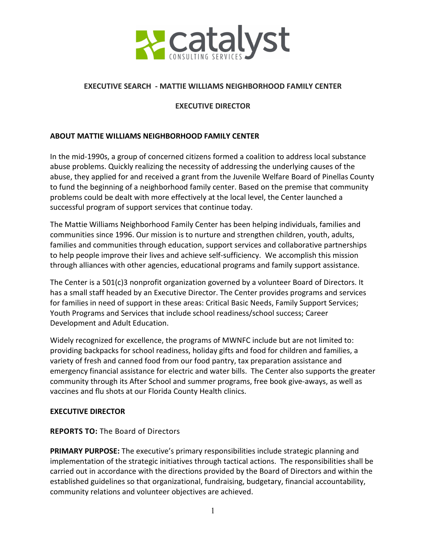

### **EXECUTIVE SEARCH - MATTIE WILLIAMS NEIGHBORHOOD FAMILY CENTER**

### **EXECUTIVE DIRECTOR**

#### **ABOUT MATTIE WILLIAMS NEIGHBORHOOD FAMILY CENTER**

In the mid-1990s, a group of concerned citizens formed a coalition to address local substance abuse problems. Quickly realizing the necessity of addressing the underlying causes of the abuse, they applied for and received a grant from the Juvenile Welfare Board of Pinellas County to fund the beginning of a neighborhood family center. Based on the premise that community problems could be dealt with more effectively at the local level, the Center launched a successful program of support services that continue today.

The Mattie Williams Neighborhood Family Center has been helping individuals, families and communities since 1996. Our mission is to nurture and strengthen children, youth, adults, families and communities through education, support services and collaborative partnerships to help people improve their lives and achieve self-sufficiency. We accomplish this mission through alliances with other agencies, educational programs and family support assistance.

The Center is a 501(c)3 nonprofit organization governed by a volunteer Board of Directors. It has a small staff headed by an Executive Director. The Center provides programs and services for families in need of support in these areas: Critical Basic Needs, Family Support Services; Youth Programs and Services that include school readiness/school success; Career Development and Adult Education.

Widely recognized for excellence, the programs of MWNFC include but are not limited to: providing backpacks for school readiness, holiday gifts and food for children and families, a variety of fresh and canned food from our food pantry, tax preparation assistance and emergency financial assistance for electric and water bills. The Center also supports the greater community through its After School and summer programs, free book give-aways, as well as vaccines and flu shots at our Florida County Health clinics.

### **EXECUTIVE DIRECTOR**

### **REPORTS TO:** The Board of Directors

**PRIMARY PURPOSE:** The executive's primary responsibilities include strategic planning and implementation of the strategic initiatives through tactical actions. The responsibilities shall be carried out in accordance with the directions provided by the Board of Directors and within the established guidelines so that organizational, fundraising, budgetary, financial accountability, community relations and volunteer objectives are achieved.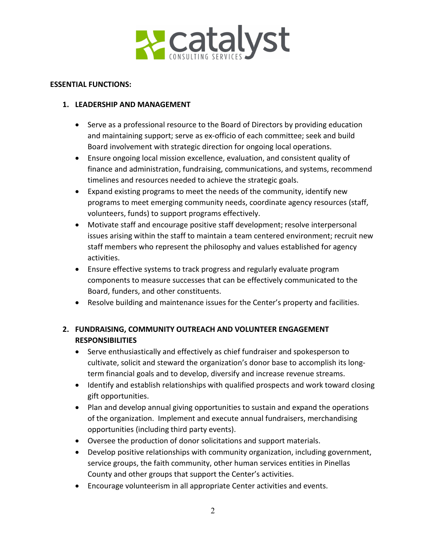

#### **ESSENTIAL FUNCTIONS:**

## **1. LEADERSHIP AND MANAGEMENT**

- Serve as a professional resource to the Board of Directors by providing education and maintaining support; serve as ex-officio of each committee; seek and build Board involvement with strategic direction for ongoing local operations.
- Ensure ongoing local mission excellence, evaluation, and consistent quality of finance and administration, fundraising, communications, and systems, recommend timelines and resources needed to achieve the strategic goals.
- Expand existing programs to meet the needs of the community, identify new programs to meet emerging community needs, coordinate agency resources (staff, volunteers, funds) to support programs effectively.
- Motivate staff and encourage positive staff development; resolve interpersonal issues arising within the staff to maintain a team centered environment; recruit new staff members who represent the philosophy and values established for agency activities.
- Ensure effective systems to track progress and regularly evaluate program components to measure successes that can be effectively communicated to the Board, funders, and other constituents.
- Resolve building and maintenance issues for the Center's property and facilities.

# **2. FUNDRAISING, COMMUNITY OUTREACH AND VOLUNTEER ENGAGEMENT RESPONSIBILITIES**

- Serve enthusiastically and effectively as chief fundraiser and spokesperson to cultivate, solicit and steward the organization's donor base to accomplish its longterm financial goals and to develop, diversify and increase revenue streams.
- Identify and establish relationships with qualified prospects and work toward closing gift opportunities.
- Plan and develop annual giving opportunities to sustain and expand the operations of the organization. Implement and execute annual fundraisers, merchandising opportunities (including third party events).
- Oversee the production of donor solicitations and support materials.
- Develop positive relationships with community organization, including government, service groups, the faith community, other human services entities in Pinellas County and other groups that support the Center's activities.
- Encourage volunteerism in all appropriate Center activities and events.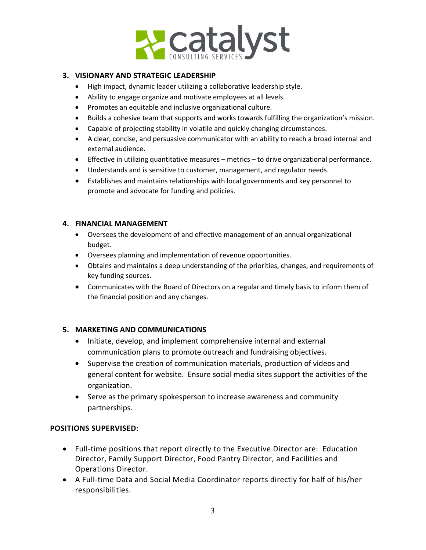

### **3. VISIONARY AND STRATEGIC LEADERSHIP**

- High impact, dynamic leader utilizing a collaborative leadership style.
- Ability to engage organize and motivate employees at all levels.
- Promotes an equitable and inclusive organizational culture.
- Builds a cohesive team that supports and works towards fulfilling the organization's mission.
- Capable of projecting stability in volatile and quickly changing circumstances.
- A clear, concise, and persuasive communicator with an ability to reach a broad internal and external audience.
- Effective in utilizing quantitative measures metrics to drive organizational performance.
- Understands and is sensitive to customer, management, and regulator needs.
- Establishes and maintains relationships with local governments and key personnel to promote and advocate for funding and policies.

### **4. FINANCIAL MANAGEMENT**

- Oversees the development of and effective management of an annual organizational budget.
- Oversees planning and implementation of revenue opportunities.
- Obtains and maintains a deep understanding of the priorities, changes, and requirements of key funding sources.
- Communicates with the Board of Directors on a regular and timely basis to inform them of the financial position and any changes.

# **5. MARKETING AND COMMUNICATIONS**

- Initiate, develop, and implement comprehensive internal and external communication plans to promote outreach and fundraising objectives.
- Supervise the creation of communication materials, production of videos and general content for website. Ensure social media sites support the activities of the organization.
- Serve as the primary spokesperson to increase awareness and community partnerships.

# **POSITIONS SUPERVISED:**

- Full-time positions that report directly to the Executive Director are: Education Director, Family Support Director, Food Pantry Director, and Facilities and Operations Director.
- A Full-time Data and Social Media Coordinator reports directly for half of his/her responsibilities.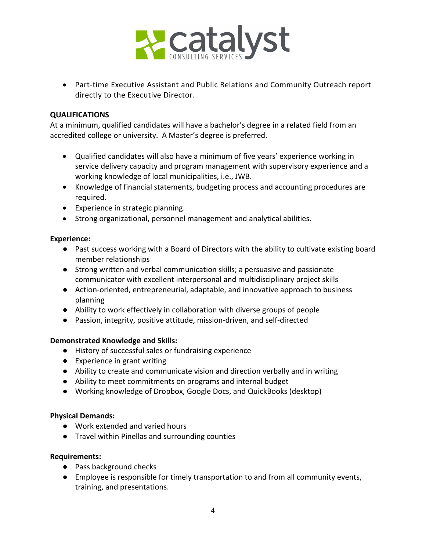

• Part-time Executive Assistant and Public Relations and Community Outreach report directly to the Executive Director.

### **QUALIFICATIONS**

At a minimum, qualified candidates will have a bachelor's degree in a related field from an accredited college or university. A Master's degree is preferred.

- Qualified candidates will also have a minimum of five years' experience working in service delivery capacity and program management with supervisory experience and a working knowledge of local municipalities, i.e., JWB.
- Knowledge of financial statements, budgeting process and accounting procedures are required.
- Experience in strategic planning.
- Strong organizational, personnel management and analytical abilities.

### **Experience:**

- Past success working with a Board of Directors with the ability to cultivate existing board member relationships
- Strong written and verbal communication skills; a persuasive and passionate communicator with excellent interpersonal and multidisciplinary project skills
- Action-oriented, entrepreneurial, adaptable, and innovative approach to business planning
- Ability to work effectively in collaboration with diverse groups of people
- Passion, integrity, positive attitude, mission-driven, and self-directed

# **Demonstrated Knowledge and Skills:**

- History of successful sales or fundraising experience
- Experience in grant writing
- Ability to create and communicate vision and direction verbally and in writing
- Ability to meet commitments on programs and internal budget
- Working knowledge of Dropbox, Google Docs, and QuickBooks (desktop)

### **Physical Demands:**

- Work extended and varied hours
- Travel within Pinellas and surrounding counties

# **Requirements:**

- Pass background checks
- Employee is responsible for timely transportation to and from all community events, training, and presentations.